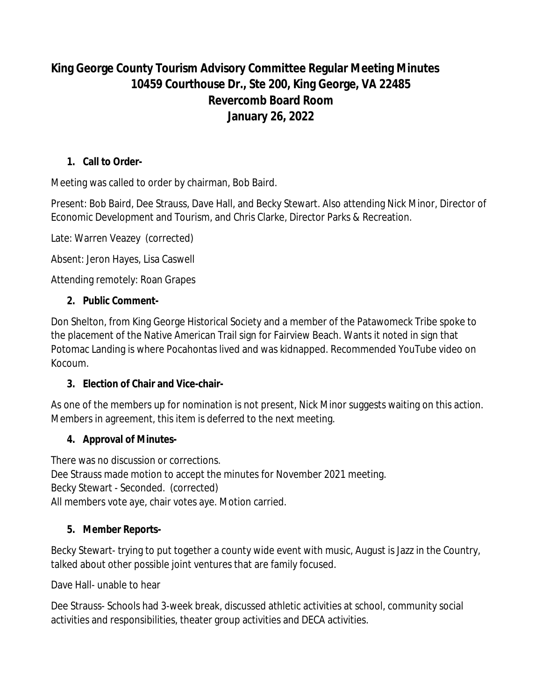# **King George County Tourism Advisory Committee Regular Meeting Minutes 10459 Courthouse Dr., Ste 200, King George, VA 22485 Revercomb Board Room January 26, 2022**

### **1. Call to Order-**

Meeting was called to order by chairman, Bob Baird.

Present: Bob Baird, Dee Strauss, Dave Hall, and Becky Stewart. Also attending Nick Minor, Director of Economic Development and Tourism, and Chris Clarke, Director Parks & Recreation.

Late: Warren Veazey (corrected)

Absent: Jeron Hayes, Lisa Caswell

Attending remotely: Roan Grapes

#### **2. Public Comment-**

Don Shelton, from King George Historical Society and a member of the Patawomeck Tribe spoke to the placement of the Native American Trail sign for Fairview Beach. Wants it noted in sign that Potomac Landing is where Pocahontas lived and was kidnapped. Recommended YouTube video on Kocoum.

#### **3. Election of Chair and Vice-chair-**

As one of the members up for nomination is not present, Nick Minor suggests waiting on this action. Members in agreement, this item is deferred to the next meeting.

#### **4. Approval of Minutes-**

There was no discussion or corrections. Dee Strauss made motion to accept the minutes for November 2021 meeting. Becky Stewart - Seconded. (corrected) All members vote aye, chair votes aye. Motion carried.

#### **5. Member Reports-**

Becky Stewart- trying to put together a county wide event with music, August is Jazz in the Country, talked about other possible joint ventures that are family focused.

Dave Hall- unable to hear

Dee Strauss- Schools had 3-week break, discussed athletic activities at school, community social activities and responsibilities, theater group activities and DECA activities.